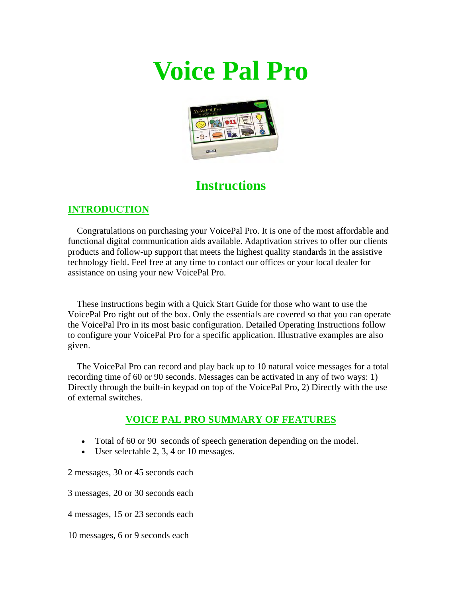# **Voice Pal Pro**



## **Instructions**

#### **INTRODUCTION**

 Congratulations on purchasing your VoicePal Pro. It is one of the most affordable and functional digital communication aids available. Adaptivation strives to offer our clients products and follow-up support that meets the highest quality standards in the assistive technology field. Feel free at any time to contact our offices or your local dealer for assistance on using your new VoicePal Pro.

 These instructions begin with a Quick Start Guide for those who want to use the VoicePal Pro right out of the box. Only the essentials are covered so that you can operate the VoicePal Pro in its most basic configuration. Detailed Operating Instructions follow to configure your VoicePal Pro for a specific application. Illustrative examples are also given.

 The VoicePal Pro can record and play back up to 10 natural voice messages for a total recording time of 60 or 90 seconds. Messages can be activated in any of two ways: 1) Directly through the built-in keypad on top of the VoicePal Pro, 2) Directly with the use of external switches.

#### **VOICE PAL PRO SUMMARY OF FEATURES**

- Total of 60 or 90 seconds of speech generation depending on the model.
- User selectable 2, 3, 4 or 10 messages.

2 messages, 30 or 45 seconds each

3 messages, 20 or 30 seconds each

4 messages, 15 or 23 seconds each

10 messages, 6 or 9 seconds each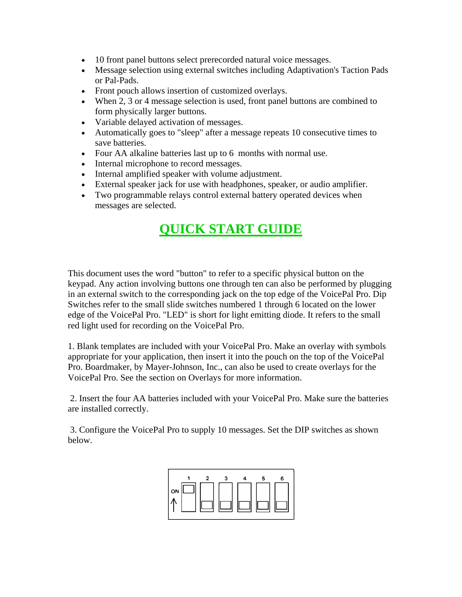- 10 front panel buttons select prerecorded natural voice messages.
- Message selection using external switches including Adaptivation's Taction Pads or Pal-Pads.
- Front pouch allows insertion of customized overlays.
- When 2, 3 or 4 message selection is used, front panel buttons are combined to form physically larger buttons.
- Variable delayed activation of messages.
- Automatically goes to "sleep" after a message repeats 10 consecutive times to save batteries.
- Four AA alkaline batteries last up to 6 months with normal use.
- Internal microphone to record messages.
- Internal amplified speaker with volume adjustment.
- External speaker jack for use with headphones, speaker, or audio amplifier.
- Two programmable relays control external battery operated devices when messages are selected.

## **QUICK START GUIDE**

This document uses the word "button" to refer to a specific physical button on the keypad. Any action involving buttons one through ten can also be performed by plugging in an external switch to the corresponding jack on the top edge of the VoicePal Pro. Dip Switches refer to the small slide switches numbered 1 through 6 located on the lower edge of the VoicePal Pro. "LED" is short for light emitting diode. It refers to the small red light used for recording on the VoicePal Pro.

1. Blank templates are included with your VoicePal Pro. Make an overlay with symbols appropriate for your application, then insert it into the pouch on the top of the VoicePal Pro. Boardmaker, by Mayer-Johnson, Inc., can also be used to create overlays for the VoicePal Pro. See the section on Overlays for more information.

 2. Insert the four AA batteries included with your VoicePal Pro. Make sure the batteries are installed correctly.

 3. Configure the VoicePal Pro to supply 10 messages. Set the DIP switches as shown below.

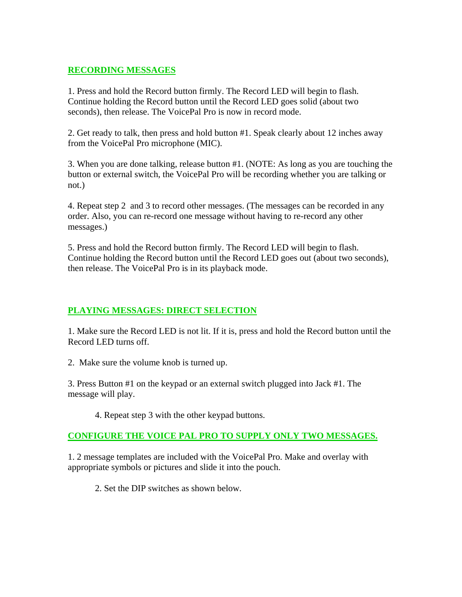#### **RECORDING MESSAGES**

1. Press and hold the Record button firmly. The Record LED will begin to flash. Continue holding the Record button until the Record LED goes solid (about two seconds), then release. The VoicePal Pro is now in record mode.

2. Get ready to talk, then press and hold button #1. Speak clearly about 12 inches away from the VoicePal Pro microphone (MIC).

3. When you are done talking, release button #1. (NOTE: As long as you are touching the button or external switch, the VoicePal Pro will be recording whether you are talking or not.)

4. Repeat step 2 and 3 to record other messages. (The messages can be recorded in any order. Also, you can re-record one message without having to re-record any other messages.)

5. Press and hold the Record button firmly. The Record LED will begin to flash. Continue holding the Record button until the Record LED goes out (about two seconds), then release. The VoicePal Pro is in its playback mode.

#### **PLAYING MESSAGES: DIRECT SELECTION**

1. Make sure the Record LED is not lit. If it is, press and hold the Record button until the Record LED turns off.

2. Make sure the volume knob is turned up.

3. Press Button #1 on the keypad or an external switch plugged into Jack #1. The message will play.

4. Repeat step 3 with the other keypad buttons.

#### **CONFIGURE THE VOICE PAL PRO TO SUPPLY ONLY TWO MESSAGES.**

1. 2 message templates are included with the VoicePal Pro. Make and overlay with appropriate symbols or pictures and slide it into the pouch.

2. Set the DIP switches as shown below.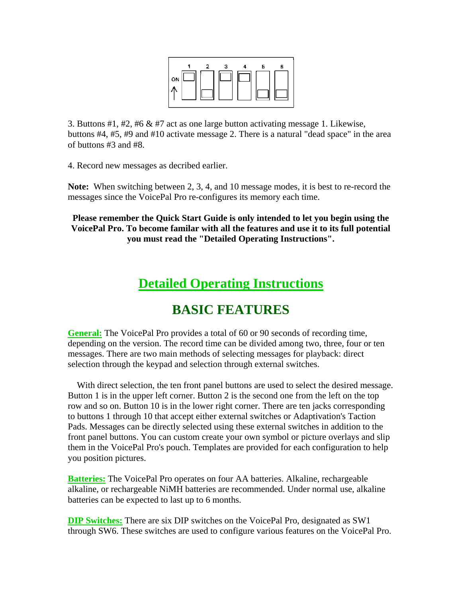

3. Buttons #1, #2, #6 & #7 act as one large button activating message 1. Likewise, buttons #4, #5, #9 and #10 activate message 2. There is a natural "dead space" in the area of buttons #3 and #8.

4. Record new messages as decribed earlier.

**Note:** When switching between 2, 3, 4, and 10 message modes, it is best to re-record the messages since the VoicePal Pro re-configures its memory each time.

**Please remember the Quick Start Guide is only intended to let you begin using the VoicePal Pro. To become familar with all the features and use it to its full potential you must read the "Detailed Operating Instructions".**

## **Detailed Operating Instructions**

### **BASIC FEATURES**

**General:** The VoicePal Pro provides a total of 60 or 90 seconds of recording time, depending on the version. The record time can be divided among two, three, four or ten messages. There are two main methods of selecting messages for playback: direct selection through the keypad and selection through external switches.

 With direct selection, the ten front panel buttons are used to select the desired message. Button 1 is in the upper left corner. Button 2 is the second one from the left on the top row and so on. Button 10 is in the lower right corner. There are ten jacks corresponding to buttons 1 through 10 that accept either external switches or Adaptivation's Taction Pads. Messages can be directly selected using these external switches in addition to the front panel buttons. You can custom create your own symbol or picture overlays and slip them in the VoicePal Pro's pouch. Templates are provided for each configuration to help you position pictures.

**Batteries:** The VoicePal Pro operates on four AA batteries. Alkaline, rechargeable alkaline, or rechargeable NiMH batteries are recommended. Under normal use, alkaline batteries can be expected to last up to 6 months.

**DIP Switches:** There are six DIP switches on the VoicePal Pro, designated as SW1 through SW6. These switches are used to configure various features on the VoicePal Pro.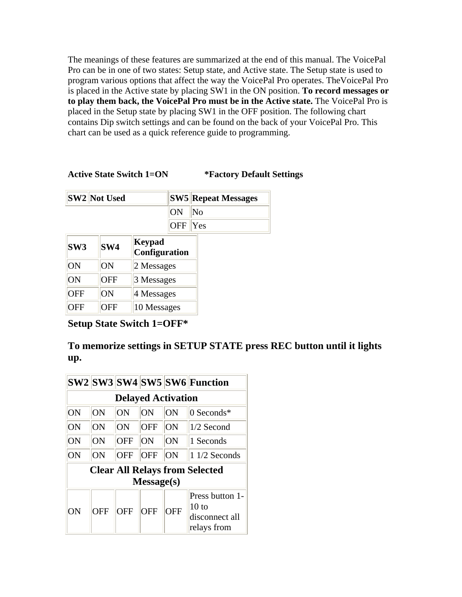The meanings of these features are summarized at the end of this manual. The VoicePal Pro can be in one of two states: Setup state, and Active state. The Setup state is used to program various options that affect the way the VoicePal Pro operates. TheVoicePal Pro is placed in the Active state by placing SW1 in the ON position. **To record messages or to play them back, the VoicePal Pro must be in the Active state.** The VoicePal Pro is placed in the Setup state by placing SW1 in the OFF position. The following chart contains Dip switch settings and can be found on the back of your VoicePal Pro. This chart can be used as a quick reference guide to programming.

#### **Active State Switch 1=ON \*Factory Default Settings**

|                 | <b>SW2 Not Used</b> |                                |            | <b>SW5 Repeat Messages</b> |
|-----------------|---------------------|--------------------------------|------------|----------------------------|
|                 |                     |                                | ON         | No                         |
|                 |                     |                                | <b>OFF</b> | Yes                        |
| SW <sub>3</sub> | SW <sub>4</sub>     | <b>Keypad</b><br>Configuration |            |                            |
| ON              | ON                  | 2 Messages                     |            |                            |
| ON              | <b>OFF</b>          | 3 Messages                     |            |                            |
| <b>OFF</b>      | ON                  | 4 Messages                     |            |                            |
| OFF             | OFF                 | 10 Messages                    |            |                            |

**Setup State Switch 1=OFF\***

#### **To memorize settings in SETUP STATE press REC button until it lights up.**

|    |            |            |            |                           | SW2 SW3 SW4 SW5 SW6 Function                                         |
|----|------------|------------|------------|---------------------------|----------------------------------------------------------------------|
|    |            |            |            | <b>Delayed Activation</b> |                                                                      |
| ON | ON         | ON         | ON         | ON                        | 0 Seconds*                                                           |
| ON | ON         | ON         | <b>OFF</b> | ON                        | $1/2$ Second                                                         |
| ON | ON         | <b>OFF</b> | ON         | ON                        | 1 Seconds                                                            |
| ON | ON         | <b>OFF</b> | <b>OFF</b> | ON                        | $11/2$ Seconds                                                       |
|    |            |            |            |                           | <b>Clear All Relays from Selected</b>                                |
|    |            |            | Message(s) |                           |                                                                      |
| OΝ | <b>OFF</b> | <b>OFF</b> | <b>OFF</b> | OFF                       | Press button 1-<br>10 <sub>to</sub><br>disconnect all<br>relays from |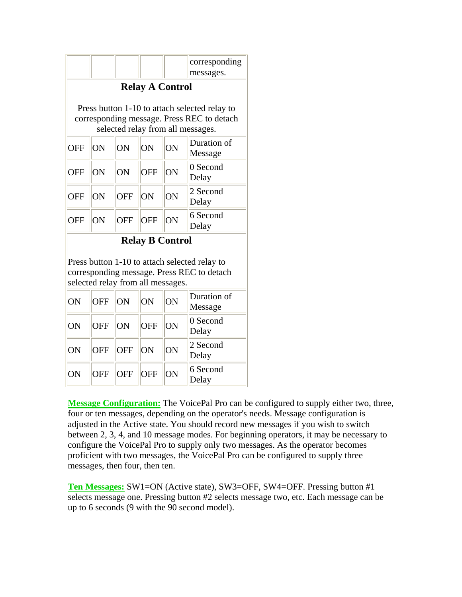|            |                                   |            |                        |    | corresponding<br>messages.                                                                                                       |
|------------|-----------------------------------|------------|------------------------|----|----------------------------------------------------------------------------------------------------------------------------------|
|            |                                   |            | <b>Relay A Control</b> |    |                                                                                                                                  |
|            |                                   |            |                        |    | Press button 1-10 to attach selected relay to<br>corresponding message. Press REC to detach<br>selected relay from all messages. |
| <b>OFF</b> | ON                                | ON         | ON                     | ON | Duration of<br>Message                                                                                                           |
| <b>OFF</b> | ON                                | ON         | <b>OFF</b>             | ON | 0 Second<br>Delay                                                                                                                |
| <b>OFF</b> | ON                                | <b>OFF</b> | ON                     | ON | 2 Second<br>Delay                                                                                                                |
| <b>OFF</b> | ON                                | <b>OFF</b> | <b>OFF</b>             | ON | 6 Second<br>Delay                                                                                                                |
|            |                                   |            | <b>Relay B Control</b> |    |                                                                                                                                  |
|            | selected relay from all messages. |            |                        |    | Press button 1-10 to attach selected relay to<br>corresponding message. Press REC to detach                                      |
| ON         | <b>OFF</b>                        | ON         | ON                     | ON | Duration of<br>Message                                                                                                           |
| ON         | OFF                               | ON         | <b>OFF</b>             | ON | 0 Second<br>Delay                                                                                                                |

| ON | OFF ON |             | $\ OFF\ $ | <b>ON</b> | IU JELUIIU<br>Delay |
|----|--------|-------------|-----------|-----------|---------------------|
| ON |        | OFF OFF ON  |           | ON        | 2 Second<br>Delay   |
| ON |        | OFF OFF OFF |           | <b>ON</b> | $6$ Second<br>Delay |

**Message Configuration:** The VoicePal Pro can be configured to supply either two, three, four or ten messages, depending on the operator's needs. Message configuration is adjusted in the Active state. You should record new messages if you wish to switch between 2, 3, 4, and 10 message modes. For beginning operators, it may be necessary to configure the VoicePal Pro to supply only two messages. As the operator becomes proficient with two messages, the VoicePal Pro can be configured to supply three messages, then four, then ten.

**Ten Messages:** SW1=ON (Active state), SW3=OFF, SW4=OFF. Pressing button #1 selects message one. Pressing button #2 selects message two, etc. Each message can be up to 6 seconds (9 with the 90 second model).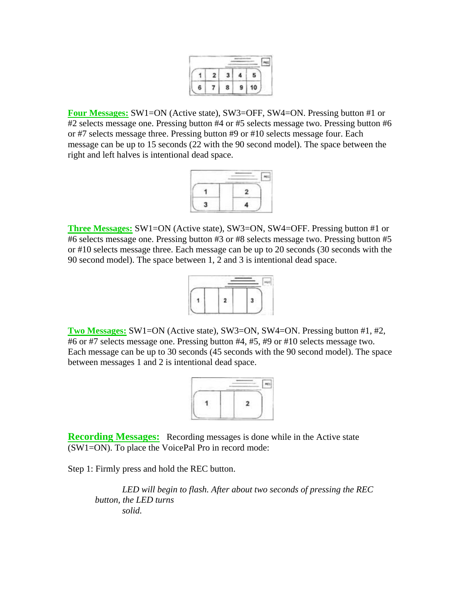**Four Messages:** SW1=ON (Active state), SW3=OFF, SW4=ON. Pressing button #1 or #2 selects message one. Pressing button #4 or #5 selects message two. Pressing button #6 or #7 selects message three. Pressing button #9 or #10 selects message four. Each message can be up to 15 seconds (22 with the 90 second model). The space between the right and left halves is intentional dead space.

**Three Messages:** SW1=ON (Active state), SW3=ON, SW4=OFF. Pressing button #1 or #6 selects message one. Pressing button #3 or #8 selects message two. Pressing button #5 or #10 selects message three. Each message can be up to 20 seconds (30 seconds with the 90 second model). The space between 1, 2 and 3 is intentional dead space.



**Two Messages:** SW1=ON (Active state), SW3=ON, SW4=ON. Pressing button #1, #2, #6 or #7 selects message one. Pressing button #4, #5, #9 or #10 selects message two. Each message can be up to 30 seconds (45 seconds with the 90 second model). The space between messages 1 and 2 is intentional dead space.

| ٠ |
|---|
|   |
|   |

**Recording Messages:** Recording messages is done while in the Active state (SW1=ON). To place the VoicePal Pro in record mode:

Step 1: Firmly press and hold the REC button.

 *LED will begin to flash. After about two seconds of pressing the REC button, the LED turns solid.*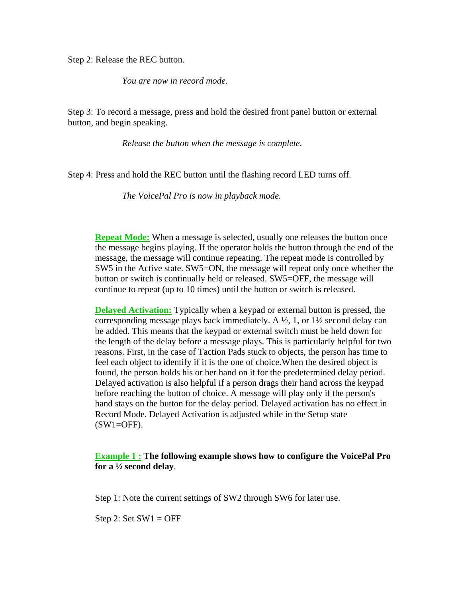Step 2: Release the REC button.

 *You are now in record mode.*

Step 3: To record a message, press and hold the desired front panel button or external button, and begin speaking.

 *Release the button when the message is complete.*

Step 4: Press and hold the REC button until the flashing record LED turns off.

 *The VoicePal Pro is now in playback mode.*

**Repeat Mode:** When a message is selected, usually one releases the button once the message begins playing. If the operator holds the button through the end of the message, the message will continue repeating. The repeat mode is controlled by SW5 in the Active state. SW5=ON, the message will repeat only once whether the button or switch is continually held or released. SW5=OFF, the message will continue to repeat (up to 10 times) until the button or switch is released.

**Delayed Activation:** Typically when a keypad or external button is pressed, the corresponding message plays back immediately. A  $\frac{1}{2}$ , 1, or  $1\frac{1}{2}$  second delay can be added. This means that the keypad or external switch must be held down for the length of the delay before a message plays. This is particularly helpful for two reasons. First, in the case of Taction Pads stuck to objects, the person has time to feel each object to identify if it is the one of choice.When the desired object is found, the person holds his or her hand on it for the predetermined delay period. Delayed activation is also helpful if a person drags their hand across the keypad before reaching the button of choice. A message will play only if the person's hand stays on the button for the delay period. Delayed activation has no effect in Record Mode. Delayed Activation is adjusted while in the Setup state  $(SW1=OFF)$ .

**Example 1 : The following example shows how to configure the VoicePal Pro for a ½ second delay**.

Step 1: Note the current settings of SW2 through SW6 for later use.

Step 2: Set  $SW1 = OFF$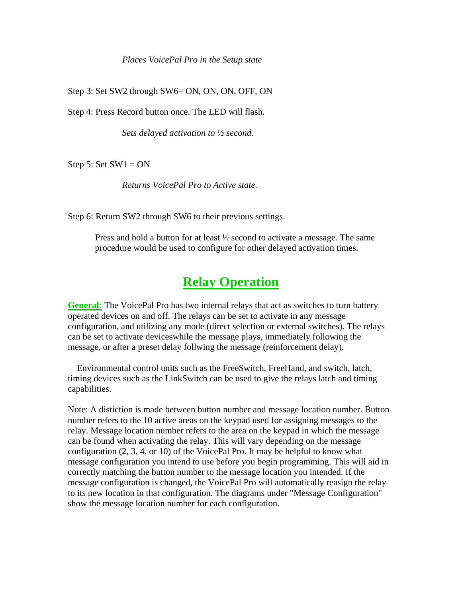#### *Places VoicePal Pro in the Setup state*

Step 3: Set SW2 through SW6= ON, ON, ON, OFF, ON

Step 4: Press Record button once. The LED will flash.

 *Sets delayed activation to ½ second.*

Step 5: Set  $SW1 = ON$ 

 *Returns VoicePal Pro to Active state.*

Step 6: Return SW2 through SW6 to their previous settings.

Press and hold a button for at least ½ second to activate a message. The same procedure would be used to configure for other delayed activation times.

### **Relay Operation**

**General:** The VoicePal Pro has two internal relays that act as switches to turn battery operated devices on and off. The relays can be set to activate in any message configuration, and utilizing any mode (direct selection or external switches). The relays can be set to activate deviceswhile the message plays, immediately following the message, or after a preset delay follwing the message (reinforcement delay).

 Environmental control units such as the FreeSwitch, FreeHand, and switch, latch, timing devices such as the LinkSwitch can be used to give the relays latch and timing capabilities.

Note: A distiction is made between button number and message location number. Button number refers to the 10 active areas on the keypad used for assigning messages to the relay. Message location number refers to the area on the keypad in which the message can be found when activating the relay. This will vary depending on the message configuration (2, 3, 4, or 10) of the VoicePal Pro. It may be helpful to know what message configuration you intend to use before you begin programming. This will aid in correctly matching the button number to the message location you intended. If the message configuration is changed, the VoicePal Pro will automatically reasign the relay to its new location in that configuration. The diagrams under "Message Configuration" show the message location number for each configuration.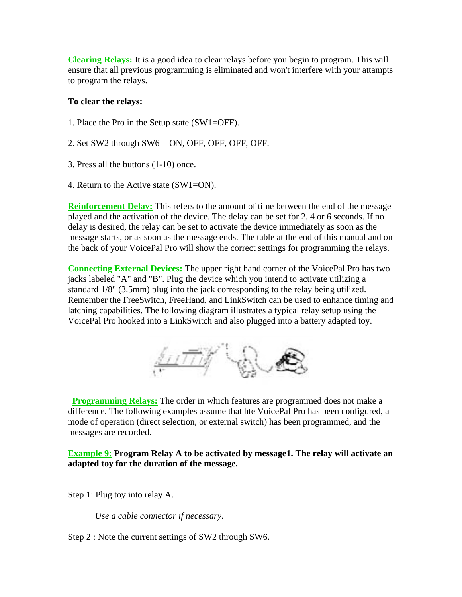**Clearing Relays:** It is a good idea to clear relays before you begin to program. This will ensure that all previous programming is eliminated and won't interfere with your attampts to program the relays.

#### **To clear the relays:**

- 1. Place the Pro in the Setup state (SW1=OFF).
- 2. Set SW2 through SW6 = ON, OFF, OFF, OFF, OFF.
- 3. Press all the buttons (1-10) once.
- 4. Return to the Active state (SW1=ON).

**Reinforcement Delay:** This refers to the amount of time between the end of the message played and the activation of the device. The delay can be set for 2, 4 or 6 seconds. If no delay is desired, the relay can be set to activate the device immediately as soon as the message starts, or as soon as the message ends. The table at the end of this manual and on the back of your VoicePal Pro will show the correct settings for programming the relays.

**Connecting External Devices:** The upper right hand corner of the VoicePal Pro has two jacks labeled "A" and "B". Plug the device which you intend to activate utilizing a standard 1/8" (3.5mm) plug into the jack corresponding to the relay being utilized. Remember the FreeSwitch, FreeHand, and LinkSwitch can be used to enhance timing and latching capabilities. The following diagram illustrates a typical relay setup using the VoicePal Pro hooked into a LinkSwitch and also plugged into a battery adapted toy.



**Programming Relays:** The order in which features are programmed does not make a difference. The following examples assume that hte VoicePal Pro has been configured, a mode of operation (direct selection, or external switch) has been programmed, and the messages are recorded.

**Example 9: Program Relay A to be activated by message1. The relay will activate an adapted toy for the duration of the message.**

Step 1: Plug toy into relay A.

 *Use a cable connector if necessary*.

Step 2 : Note the current settings of SW2 through SW6.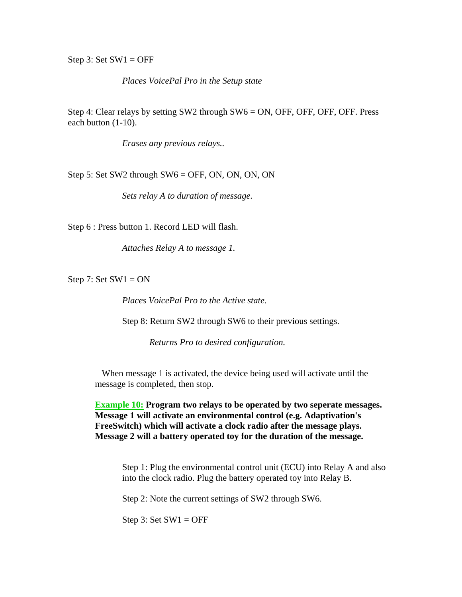Step 3: Set  $SW1 = OFF$ 

 *Places VoicePal Pro in the Setup state*

Step 4: Clear relays by setting SW2 through SW6 = ON, OFF, OFF, OFF, OFF. Press each button (1-10).

 *Erases any previous relays..*

Step 5: Set SW2 through  $SW6 = OFF$ , ON, ON, ON, ON

 *Sets relay A to duration of message.*

Step 6 : Press button 1. Record LED will flash.

 *Attaches Relay A to message 1.*

Step 7: Set  $SW1 = ON$ 

*Places VoicePal Pro to the Active state.*

Step 8: Return SW2 through SW6 to their previous settings.

*Returns Pro to desired configuration.*

When message 1 is activated, the device being used will activate until the message is completed, then stop.

**Example 10: Program two relays to be operated by two seperate messages. Message 1 will activate an environmental control (e.g. Adaptivation's FreeSwitch) which will activate a clock radio after the message plays. Message 2 will a battery operated toy for the duration of the message.**

Step 1: Plug the environmental control unit (ECU) into Relay A and also into the clock radio. Plug the battery operated toy into Relay B.

Step 2: Note the current settings of SW2 through SW6.

Step 3: Set  $SW1 = OFF$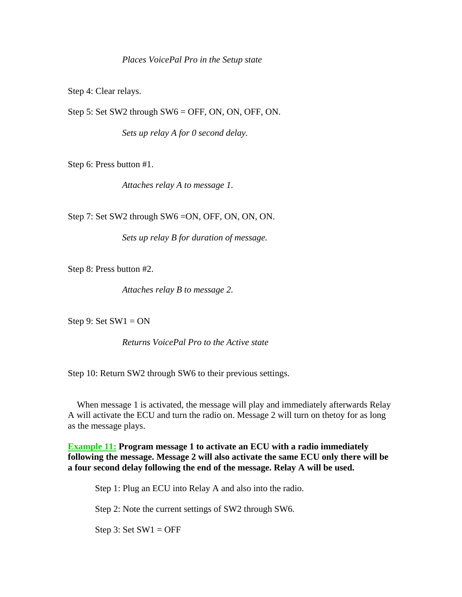Step 4: Clear relays.

Step 5: Set SW2 through SW6 = OFF, ON, ON, OFF, ON.

 *Sets up relay A for 0 second delay.*

Step 6: Press button #1.

 *Attaches relay A to message 1.*

Step 7: Set SW2 through SW6 =ON, OFF, ON, ON, ON.

 *Sets up relay B for duration of message.*

Step 8: Press button #2.

 *Attaches relay B to message 2.*

Step 9: Set  $SW1 = ON$ 

 *Returns VoicePal Pro to the Active state*

Step 10: Return SW2 through SW6 to their previous settings.

 When message 1 is activated, the message will play and immediately afterwards Relay A will activate the ECU and turn the radio on. Message 2 will turn on thetoy for as long as the message plays.

**Example 11: Program message 1 to activate an ECU with a radio immediately following the message. Message 2 will also activate the same ECU only there will be a four second delay following the end of the message. Relay A will be used.**

Step 1: Plug an ECU into Relay A and also into the radio.

Step 2: Note the current settings of SW2 through SW6.

Step 3: Set  $SW1 = OFF$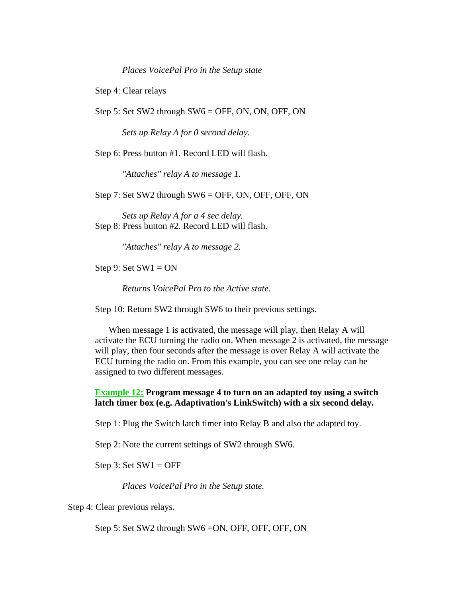*Places VoicePal Pro in the Setup state*

Step 4: Clear relays

Step 5: Set SW2 through SW6 = OFF, ON, ON, OFF, ON

 *Sets up Relay A for 0 second delay.*

Step 6: Press button #1. Record LED will flash.

 *"Attaches" relay A to message 1.*

Step 7: Set SW2 through SW6 = OFF, ON, OFF, OFF, ON

 *Sets up Relay A for a 4 sec delay.* Step 8: Press button #2. Record LED will flash.

 *"Attaches" relay A to message 2.*

Step 9: Set  $SW1 = ON$ 

 *Returns VoicePal Pro to the Active state.*

Step 10: Return SW2 through SW6 to their previous settings.

 When message 1 is activated, the message will play, then Relay A will activate the ECU turning the radio on. When message 2 is activated, the message will play, then four seconds after the message is over Relay A will activate the ECU turning the radio on. From this example, you can see one relay can be assigned to two different messages.

#### **Example 12: Program message 4 to turn on an adapted toy using a switch latch timer box (e.g. Adaptivation's LinkSwitch) with a six second delay.**

Step 1: Plug the Switch latch timer into Relay B and also the adapted toy.

Step 2: Note the current settings of SW2 through SW6.

Step 3: Set  $SW1 = OFF$ 

 *Places VoicePal Pro in the Setup state.*

Step 4: Clear previous relays.

Step 5: Set SW2 through SW6 =ON, OFF, OFF, OFF, ON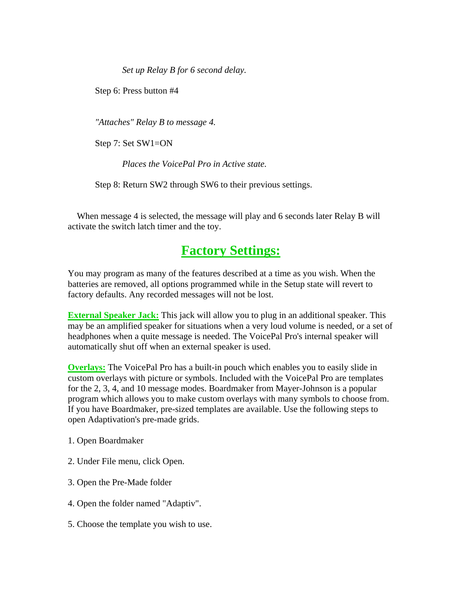*Set up Relay B for 6 second delay.*

Step 6: Press button #4

 *"Attaches" Relay B to message 4.*

Step 7: Set SW1=ON

 *Places the VoicePal Pro in Active state.*

Step 8: Return SW2 through SW6 to their previous settings.

 When message 4 is selected, the message will play and 6 seconds later Relay B will activate the switch latch timer and the toy.

## **Factory Settings:**

You may program as many of the features described at a time as you wish. When the batteries are removed, all options programmed while in the Setup state will revert to factory defaults. Any recorded messages will not be lost.

**External Speaker Jack:** This jack will allow you to plug in an additional speaker. This may be an amplified speaker for situations when a very loud volume is needed, or a set of headphones when a quite message is needed. The VoicePal Pro's internal speaker will automatically shut off when an external speaker is used.

**Overlays:** The VoicePal Pro has a built-in pouch which enables you to easily slide in custom overlays with picture or symbols. Included with the VoicePal Pro are templates for the 2, 3, 4, and 10 message modes. Boardmaker from Mayer-Johnson is a popular program which allows you to make custom overlays with many symbols to choose from. If you have Boardmaker, pre-sized templates are available. Use the following steps to open Adaptivation's pre-made grids.

- 1. Open Boardmaker
- 2. Under File menu, click Open.
- 3. Open the Pre-Made folder
- 4. Open the folder named "Adaptiv".
- 5. Choose the template you wish to use.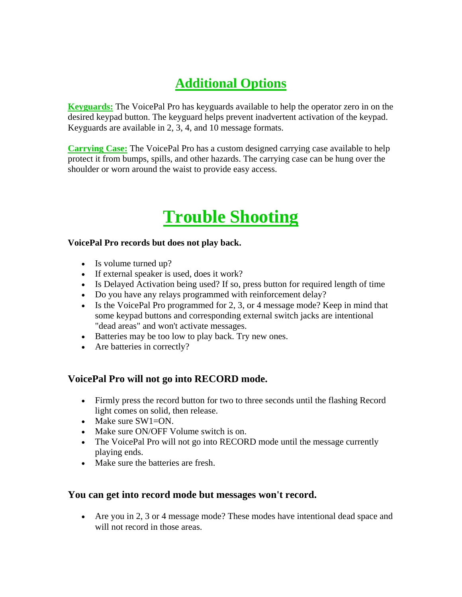## **Additional Options**

**Keyguards:** The VoicePal Pro has keyguards available to help the operator zero in on the desired keypad button. The keyguard helps prevent inadvertent activation of the keypad. Keyguards are available in 2, 3, 4, and 10 message formats.

**Carrying Case:** The VoicePal Pro has a custom designed carrying case available to help protect it from bumps, spills, and other hazards. The carrying case can be hung over the shoulder or worn around the waist to provide easy access.

## **Trouble Shooting**

#### **VoicePal Pro records but does not play back.**

- Is volume turned up?
- If external speaker is used, does it work?
- Is Delayed Activation being used? If so, press button for required length of time
- Do you have any relays programmed with reinforcement delay?
- Is the VoicePal Pro programmed for 2, 3, or 4 message mode? Keep in mind that some keypad buttons and corresponding external switch jacks are intentional "dead areas" and won't activate messages.
- Batteries may be too low to play back. Try new ones.
- Are batteries in correctly?

#### **VoicePal Pro will not go into RECORD mode.**

- Firmly press the record button for two to three seconds until the flashing Record light comes on solid, then release.
- Make sure SW1=ON.
- Make sure ON/OFF Volume switch is on.
- The VoicePal Pro will not go into RECORD mode until the message currently playing ends.
- Make sure the batteries are fresh.

#### **You can get into record mode but messages won't record.**

• Are you in 2, 3 or 4 message mode? These modes have intentional dead space and will not record in those areas.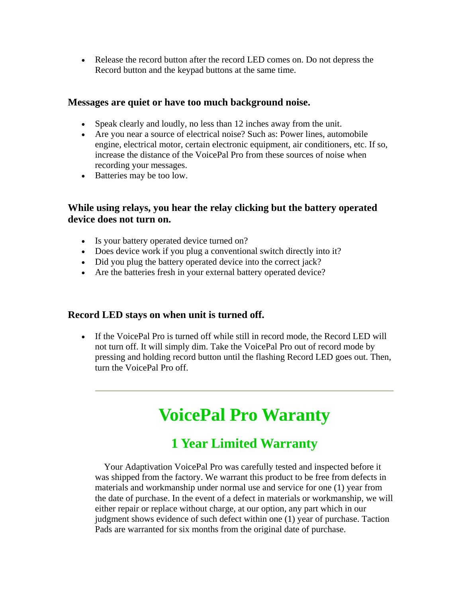• Release the record button after the record LED comes on. Do not depress the Record button and the keypad buttons at the same time.

#### **Messages are quiet or have too much background noise.**

- Speak clearly and loudly, no less than 12 inches away from the unit.
- Are you near a source of electrical noise? Such as: Power lines, automobile engine, electrical motor, certain electronic equipment, air conditioners, etc. If so, increase the distance of the VoicePal Pro from these sources of noise when recording your messages.
- Batteries may be too low.

#### **While using relays, you hear the relay clicking but the battery operated device does not turn on.**

- Is your battery operated device turned on?
- Does device work if you plug a conventional switch directly into it?
- Did you plug the battery operated device into the correct jack?
- Are the batteries fresh in your external battery operated device?

#### **Record LED stays on when unit is turned off.**

• If the VoicePal Pro is turned off while still in record mode, the Record LED will not turn off. It will simply dim. Take the VoicePal Pro out of record mode by pressing and holding record button until the flashing Record LED goes out. Then, turn the VoicePal Pro off.

## **VoicePal Pro Waranty**

## **1 Year Limited Warranty**

 Your Adaptivation VoicePal Pro was carefully tested and inspected before it was shipped from the factory. We warrant this product to be free from defects in materials and workmanship under normal use and service for one (1) year from the date of purchase. In the event of a defect in materials or workmanship, we will either repair or replace without charge, at our option, any part which in our judgment shows evidence of such defect within one (1) year of purchase. Taction Pads are warranted for six months from the original date of purchase.